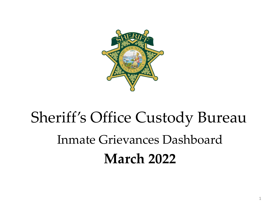

# Sheriff's Office Custody Bureau Inmate Grievances Dashboard **March 2022**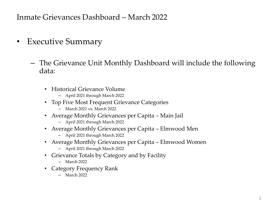- Executive Summary
	- The Grievance Unit Monthly Dashboard will include the following data:
		- Historical Grievance Volume
			- April 2021 through March 2022
		- Top Five Most Frequent Grievance Categories
			- March 2021 vs. March 2022
		- Average Monthly Grievances per Capita Main Jail
			- April 2021 through March 2022
		- Average Monthly Grievances per Capita Elmwood Men
			- April 2021 through March 2022
		- Average Monthly Grievances per Capita Elmwood Women
			- April 2021 through March 2022
		- Grievance Totals by Category and by Facility
			- March 2022
		- Category Frequency Rank
			- March 2022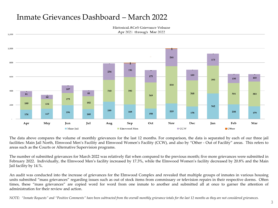1,200

Historical ACeS Grievance Volume Apr 2021 through Mar 2022



The data above compares the volume of monthly grievances for the last 12 months. For comparison, the data is separated by each of our three jail facilities: Main Jail North, Elmwood Men's Facility and Elmwood Women's Facility (CCW), and also by "Other - Out of Facility" areas. This refers to areas such as the Courts or Alternative Supervision programs.

The number of submitted grievances for March 2022 was relatively flat when compared to the previous month; five more grievances were submitted in February 2022. Individually, the Elmwood Men's facility increased by 17.3%, while the Elmwood Women's facility decreased by 20.8% and the Main Jail facility by 14.%.

An audit was conducted into the increase of grievances for the Elmwood Complex and revealed that multiple groups of inmates in various housing units submitted "mass grievances" regarding issues such as out of stock items from commissary or television repairs in their respective dorms. Often times, these "mass grievances" are copied word for word from one inmate to another and submitted all at once to garner the attention of administration for their review and action.

NOTE: "Inmate Requests" and "Positive Comments" have been subtracted from the overall monthly grievance totals for the last 12 months as they are not considered grievances.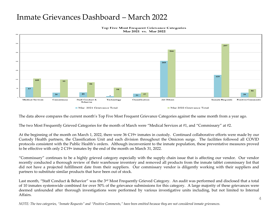

Top Five Most Frequent Grievance Categories Mar 2021 vs. Mar 2022

The data above compares the current month's Top Five Most Frequent Grievance Categories against the same month from a year ago.

The two Most Frequently Grieved Categories for the month of March were "Medical Services at #1, and "Commissary" at #2.

At the beginning of the month on March 1, 2022, there were 36 C19+ inmates in custody. Continued collaborative efforts were made by our Custody Health partners, the Classification Unit and each division throughout the Omicron surge. The facilities followed all COVID protocols consistent with the Public Health's orders. Although inconvenient to the inmate population, these preventative measures proved to be effective with only 2 C19+ inmates by the end of the month on March 31, 2022.

"Commissary" continues to be a highly grieved category especially with the supply chain issue that is affecting our vendor. Our vendor recently conducted a thorough review of their warehouse inventory and removed all products from the inmate tablet commissary list that did not have a projected fulfillment date from their suppliers. Our commissary vendor is diligently working with their suppliers and partners to substitute similar products that have been out of stock.

Last month, "Staff Conduct & Behavior" was the 3<sup>rd</sup> Most Frequently Grieved Category. An audit was performed and disclosed that a total of 10 inmates systemwide combined for over 50% of the grievance submissions for this category. A large majority of these grievances were deemed unfounded after thorough investigations were performed by various investigative units including, but not limited to Internal Affairs.

NOTE: The two categories, "Inmate Requests" and "Positive Comments," have been omitted because they are not considered inmate grievances.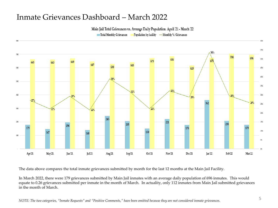Main Jail Total Grievances vs. Average Daily Population April '21 - March '22

Total Monthly Grievances Population by facility - Monthly % / Grievances



The data above compares the total inmate grievances submitted by month for the last 12 months at the Main Jail Facility.

In March 2022, there were 179 grievances submitted by Main Jail inmates with an average daily population of 696 inmates. This would equate to 0.26 grievances submitted per inmate in the month of March. In actuality, only 112 inmates from Main Jail submitted grievances in the month of March.

NOTE: The two categories, "Inmate Requests" and "Positive Comments," have been omitted because they are not considered inmate grievances.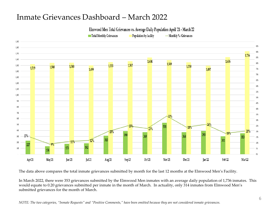Elmwood Men Total Grievances vs. Average Daily Population April '21 - March'22

Total Monthly Grievances

Population by facility -Monthly % / Grievances



The data above compares the total inmate grievances submitted by month for the last 12 months at the Elmwood Men's Facility.

In March 2022, there were 353 grievances submitted by the Elmwood Men inmates with an average daily population of 1,736 inmates. This would equate to 0.20 grievances submitted per inmate in the month of March. In actuality, only 314 inmates from Elmwood Men's submitted grievances for the month of March.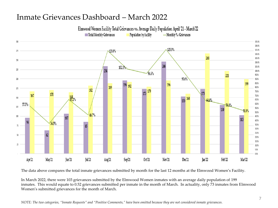Elmwood Women Facility Total Grievances vs. Average Daily Population April '21 - March'22



The data above compares the total inmate grievances submitted by month for the last 12 months at the Elmwood Women's Facility.

In March 2022, there were 103 grievances submitted by the Elmwood Women inmates with an average daily population of 199 inmates. This would equate to 0.52 grievances submitted per inmate in the month of March. In actuality, only 73 inmates from Elmwood Women's submitted grievances for the month of March.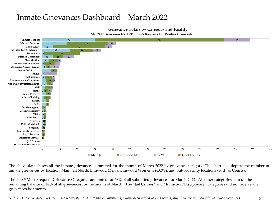

Mar 2022 Grievances 634 + 299 Inmate Requests + 46 Positive Comments



The above data shows all the inmate grievances submitted for the month of March 2022 by grievance category. The chart also depicts the number of inmate grievances by location; Main Jail North, Elmwood Men's, Elmwood Women's (CCW), and out-of-facility locations (such as Courts).

The Top 5 Most Frequent Grievance Categories accounted for 58% of all submitted grievances for March 2022. All other categories sum up the remaining balance or 42% of all grievances for the month of March. The "Jail Crimes" and "Infraction/Disciplinary" categories did not receive any grievances last month.

*NOTE: The two categories, "Inmate Requests" and "Positive Comments," have been added to this report, but they are not considered true grievances.* 8